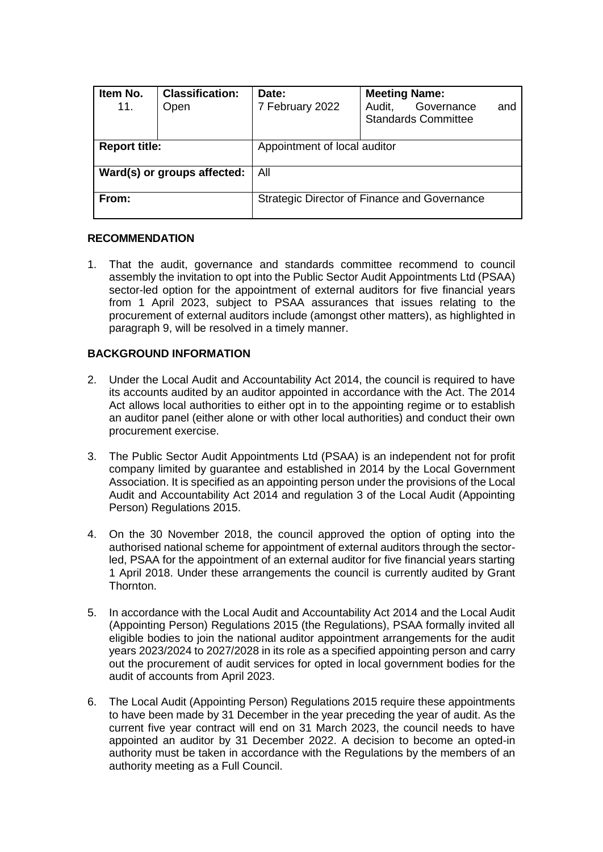| Item No.<br>11.             | <b>Classification:</b><br>Open | Date:<br>7 February 2022                     | <b>Meeting Name:</b><br>Governance<br>Audit,<br>and<br><b>Standards Committee</b> |  |
|-----------------------------|--------------------------------|----------------------------------------------|-----------------------------------------------------------------------------------|--|
| <b>Report title:</b>        |                                | Appointment of local auditor                 |                                                                                   |  |
| Ward(s) or groups affected: |                                | All                                          |                                                                                   |  |
| From:                       |                                | Strategic Director of Finance and Governance |                                                                                   |  |

#### **RECOMMENDATION**

1. That the audit, governance and standards committee recommend to council assembly the invitation to opt into the Public Sector Audit Appointments Ltd (PSAA) sector-led option for the appointment of external auditors for five financial years from 1 April 2023, subject to PSAA assurances that issues relating to the procurement of external auditors include (amongst other matters), as highlighted in paragraph 9, will be resolved in a timely manner.

# **BACKGROUND INFORMATION**

- 2. Under the Local Audit and Accountability Act 2014, the council is required to have its accounts audited by an auditor appointed in accordance with the Act. The 2014 Act allows local authorities to either opt in to the appointing regime or to establish an auditor panel (either alone or with other local authorities) and conduct their own procurement exercise.
- 3. The Public Sector Audit Appointments Ltd (PSAA) is an independent not for profit company limited by guarantee and established in 2014 by the Local Government Association. It is specified as an appointing person under the provisions of the Local Audit and Accountability Act 2014 and regulation 3 of the Local Audit (Appointing Person) Regulations 2015.
- 4. On the 30 November 2018, the council approved the option of opting into the authorised national scheme for appointment of external auditors through the sectorled, PSAA for the appointment of an external auditor for five financial years starting 1 April 2018. Under these arrangements the council is currently audited by Grant Thornton.
- 5. In accordance with the Local Audit and Accountability Act 2014 and the Local Audit (Appointing Person) Regulations 2015 (the Regulations), PSAA formally invited all eligible bodies to join the national auditor appointment arrangements for the audit years 2023/2024 to 2027/2028 in its role as a specified appointing person and carry out the procurement of audit services for opted in local government bodies for the audit of accounts from April 2023.
- 6. The Local Audit (Appointing Person) Regulations 2015 require these appointments to have been made by 31 December in the year preceding the year of audit. As the current five year contract will end on 31 March 2023, the council needs to have appointed an auditor by 31 December 2022. A decision to become an opted-in authority must be taken in accordance with the Regulations by the members of an authority meeting as a Full Council.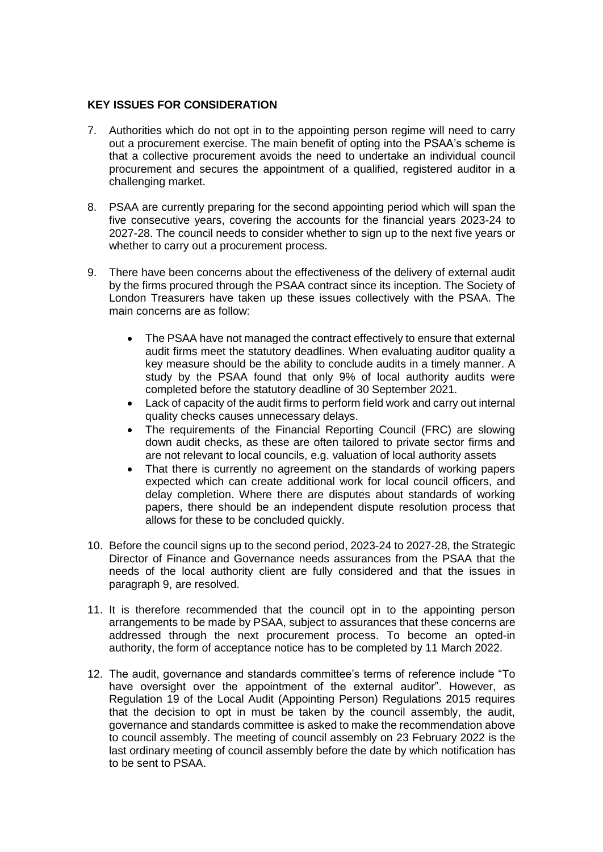## **KEY ISSUES FOR CONSIDERATION**

- 7. Authorities which do not opt in to the appointing person regime will need to carry out a procurement exercise. The main benefit of opting into the PSAA's scheme is that a collective procurement avoids the need to undertake an individual council procurement and secures the appointment of a qualified, registered auditor in a challenging market.
- 8. PSAA are currently preparing for the second appointing period which will span the five consecutive years, covering the accounts for the financial years 2023-24 to 2027-28. The council needs to consider whether to sign up to the next five years or whether to carry out a procurement process.
- 9. There have been concerns about the effectiveness of the delivery of external audit by the firms procured through the PSAA contract since its inception. The Society of London Treasurers have taken up these issues collectively with the PSAA. The main concerns are as follow:
	- The PSAA have not managed the contract effectively to ensure that external audit firms meet the statutory deadlines. When evaluating auditor quality a key measure should be the ability to conclude audits in a timely manner. A study by the PSAA found that only 9% of local authority audits were completed before the statutory deadline of 30 September 2021.
	- Lack of capacity of the audit firms to perform field work and carry out internal quality checks causes unnecessary delays.
	- The requirements of the Financial Reporting Council (FRC) are slowing down audit checks, as these are often tailored to private sector firms and are not relevant to local councils, e.g. valuation of local authority assets
	- That there is currently no agreement on the standards of working papers expected which can create additional work for local council officers, and delay completion. Where there are disputes about standards of working papers, there should be an independent dispute resolution process that allows for these to be concluded quickly.
- 10. Before the council signs up to the second period, 2023-24 to 2027-28, the Strategic Director of Finance and Governance needs assurances from the PSAA that the needs of the local authority client are fully considered and that the issues in paragraph 9, are resolved.
- 11. It is therefore recommended that the council opt in to the appointing person arrangements to be made by PSAA, subject to assurances that these concerns are addressed through the next procurement process. To become an opted-in authority, [the form of acceptance notice](https://www.psaa.co.uk/wp-content/uploads/2021/08/AP2-form-of-acceptance-FINAL.docx) has to be completed by 11 March 2022.
- 12. The audit, governance and standards committee's terms of reference include "To have oversight over the appointment of the external auditor". However, as Regulation 19 of the Local Audit (Appointing Person) Regulations 2015 requires that the decision to opt in must be taken by the council assembly, the audit, governance and standards committee is asked to make the recommendation above to council assembly. The meeting of council assembly on 23 February 2022 is the last ordinary meeting of council assembly before the date by which notification has to be sent to PSAA.